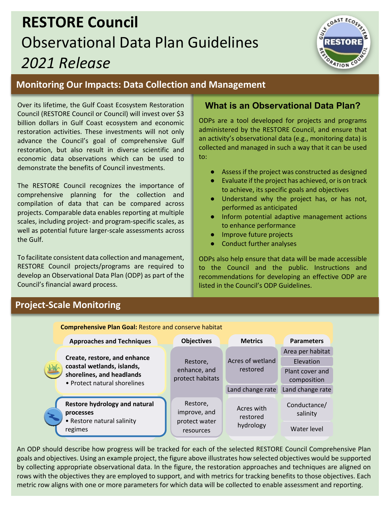# **RESTORE Council**  Observational Data Plan Guidelines *2021 Release*



# **Monitoring Our Impacts: Data Collection and Management**

Over its lifetime, the Gulf Coast Ecosystem Restoration Council (RESTORE Council or Council) will invest over \$3 billion dollars in Gulf Coast ecosystem and economic restoration activities. These investments will not only advance the Council's goal of comprehensive Gulf restoration, but also result in diverse scientific and economic data observations which can be used to demonstrate the benefits of Council investments.

The RESTORE Council recognizes the importance of comprehensive planning for the collection and compilation of data that can be compared across projects. Comparable data enables reporting at multiple scales, including project- and program-specific scales, as well as potential future larger-scale assessments across the Gulf.

To facilitate consistent data collection and management, RESTORE Council projects/programs are required to develop an Observational Data Plan (ODP) as part of the Council's financial award process.

# **What is an Observational Data Plan?**

ODPs are a tool developed for projects and programs administered by the RESTORE Council, and ensure that an activity's observational data (e.g., monitoring data) is collected and managed in such a way that it can be used to:

- Assess if the project was constructed as designed
- Evaluate if the project has achieved, or is on track to achieve, its specific goals and objectives
- Understand why the project has, or has not, performed as anticipated
- Inform potential adaptive management actions to enhance performance
- Improve future projects
- Conduct further analyses

ODPs also help ensure that data will be made accessible to the Council and the public. Instructions and recommendations for developing an effective ODP are listed in the Council's ODP Guidelines.

# **Project-Scale Monitoring**

**Comprehensive Plan Goal:** Restore and conserve habitat



An ODP should describe how progress will be tracked for each of the selected RESTORE Council Comprehensive Plan goals and objectives. Using an example project, the figure above illustrates how selected objectives would be supported by collecting appropriate observational data. In the figure, the restoration approaches and techniques are aligned on rows with the objectives they are employed to support, and with metrics for tracking benefits to those objectives. Each metric row aligns with one or more parameters for which data will be collected to enable assessment and reporting.